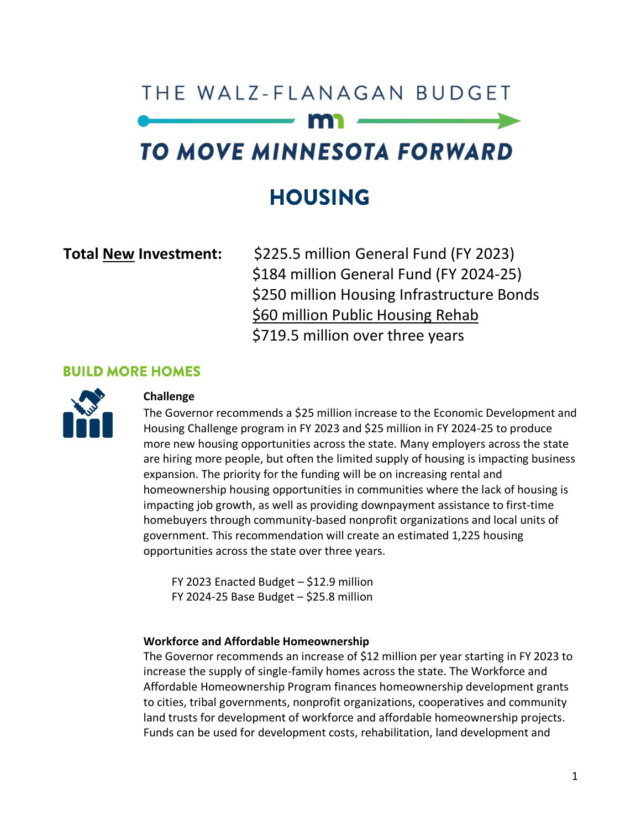# THE WAIZ-FLANAGAN BUDGET TO MOVE MINNESOTA FORWARD

# **HOUSING**

**Total New Investment:** \$225.5 million General Fund (FY 2023) \$184 million General Fund (FY 2024-25) \$250 million Housing Infrastructure Bonds \$60 million Public Housing Rehab \$719.5 million over three years

# **BUILD MORE HOMES**



# **Challenge**

The Governor recommends a \$25 million increase to the Economic Development and Housing Challenge program in FY 2023 and \$25 million in FY 2024-25 to produce more new housing opportunities across the state. Many employers across the state are hiring more people, but often the limited supply of housing is impacting business expansion. The priority for the funding will be on increasing rental and homeownership housing opportunities in communities where the lack of housing is impacting job growth, as well as providing downpayment assistance to first-time homebuyers through community-based nonprofit organizations and local units of government. This recommendation will create an estimated 1,225 housing opportunities across the state over three years.

FY 2023 Enacted Budget – \$12.9 million FY 2024-25 Base Budget – \$25.8 million

## **Workforce and Affordable Homeownership**

The Governor recommends an increase of \$12 million per year starting in FY 2023 to increase the supply of single-family homes across the state. The Workforce and Affordable Homeownership Program finances homeownership development grants to cities, tribal governments, nonprofit organizations, cooperatives and community land trusts for development of workforce and affordable homeownership projects. Funds can be used for development costs, rehabilitation, land development and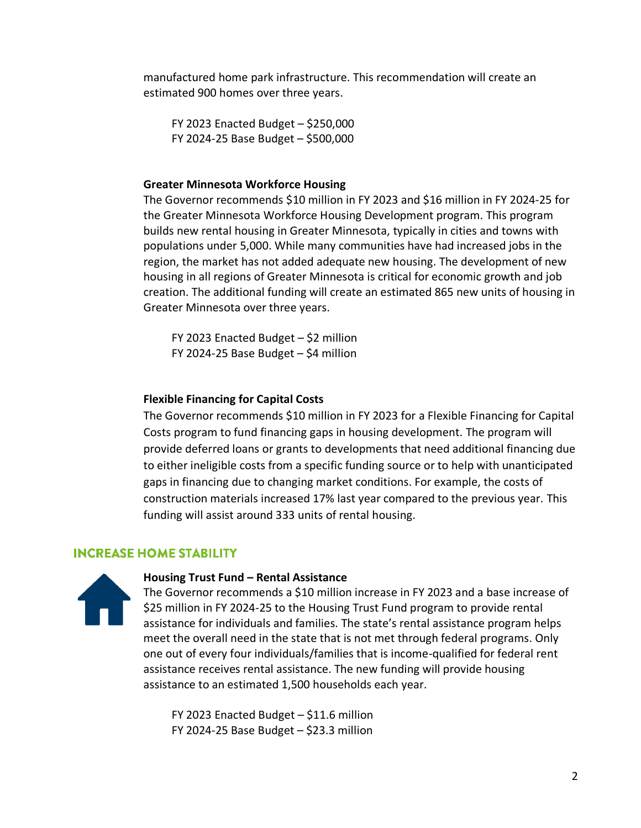manufactured home park infrastructure. This recommendation will create an estimated 900 homes over three years.

FY 2023 Enacted Budget – \$250,000 FY 2024-25 Base Budget – \$500,000

#### **Greater Minnesota Workforce Housing**

The Governor recommends \$10 million in FY 2023 and \$16 million in FY 2024-25 for the Greater Minnesota Workforce Housing Development program. This program builds new rental housing in Greater Minnesota, typically in cities and towns with populations under 5,000. While many communities have had increased jobs in the region, the market has not added adequate new housing. The development of new housing in all regions of Greater Minnesota is critical for economic growth and job creation. The additional funding will create an estimated 865 new units of housing in Greater Minnesota over three years.

FY 2023 Enacted Budget – \$2 million FY 2024-25 Base Budget – \$4 million

# **Flexible Financing for Capital Costs**

The Governor recommends \$10 million in FY 2023 for a Flexible Financing for Capital Costs program to fund financing gaps in housing development. The program will provide deferred loans or grants to developments that need additional financing due to either ineligible costs from a specific funding source or to help with unanticipated gaps in financing due to changing market conditions. For example, the costs of construction materials increased 17% last year compared to the previous year. This funding will assist around 333 units of rental housing.

# **INCREASE HOME STABILITY**



#### **Housing Trust Fund – Rental Assistance**

The Governor recommends a \$10 million increase in FY 2023 and a base increase of \$25 million in FY 2024-25 to the Housing Trust Fund program to provide rental assistance for individuals and families. The state's rental assistance program helps meet the overall need in the state that is not met through federal programs. Only one out of every four individuals/families that is income-qualified for federal rent assistance receives rental assistance. The new funding will provide housing assistance to an estimated 1,500 households each year.

FY 2023 Enacted Budget – \$11.6 million FY 2024-25 Base Budget – \$23.3 million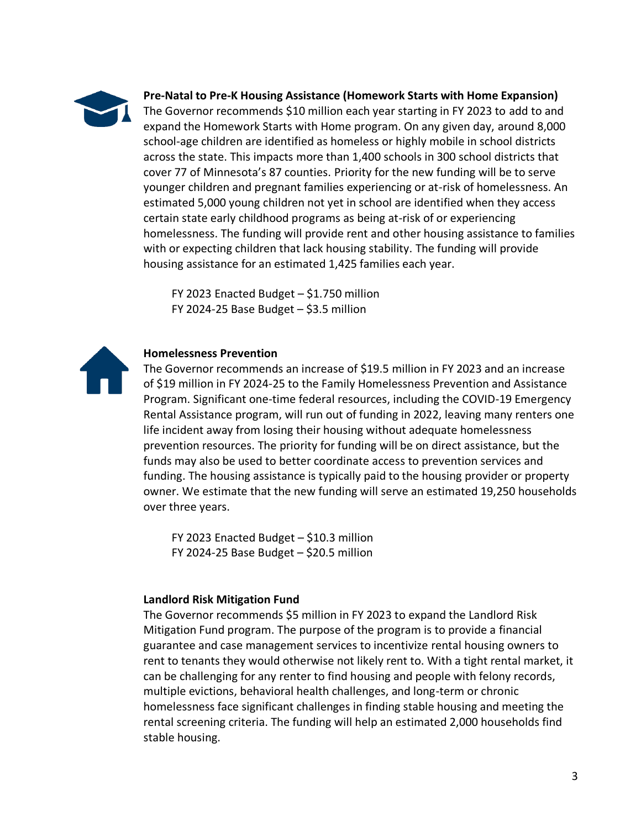

**Pre-Natal to Pre-K Housing Assistance (Homework Starts with Home Expansion)**

The Governor recommends \$10 million each year starting in FY 2023 to add to and expand the Homework Starts with Home program. On any given day, around 8,000 school-age children are identified as homeless or highly mobile in school districts across the state. This impacts more than 1,400 schools in 300 school districts that cover 77 of Minnesota's 87 counties. Priority for the new funding will be to serve younger children and pregnant families experiencing or at-risk of homelessness. An estimated 5,000 young children not yet in school are identified when they access certain state early childhood programs as being at-risk of or experiencing homelessness. The funding will provide rent and other housing assistance to families with or expecting children that lack housing stability. The funding will provide housing assistance for an estimated 1,425 families each year.

FY 2023 Enacted Budget – \$1.750 million FY 2024-25 Base Budget  $-$  \$3.5 million



# **Homelessness Prevention**

The Governor recommends an increase of \$19.5 million in FY 2023 and an increase of \$19 million in FY 2024-25 to the Family Homelessness Prevention and Assistance Program. Significant one-time federal resources, including the COVID-19 Emergency Rental Assistance program, will run out of funding in 2022, leaving many renters one life incident away from losing their housing without adequate homelessness prevention resources. The priority for funding will be on direct assistance, but the funds may also be used to better coordinate access to prevention services and funding. The housing assistance is typically paid to the housing provider or property owner. We estimate that the new funding will serve an estimated 19,250 households over three years.

FY 2023 Enacted Budget – \$10.3 million FY 2024-25 Base Budget – \$20.5 million

# **Landlord Risk Mitigation Fund**

The Governor recommends \$5 million in FY 2023 to expand the Landlord Risk Mitigation Fund program. The purpose of the program is to provide a financial guarantee and case management services to incentivize rental housing owners to rent to tenants they would otherwise not likely rent to. With a tight rental market, it can be challenging for any renter to find housing and people with felony records, multiple evictions, behavioral health challenges, and long-term or chronic homelessness face significant challenges in finding stable housing and meeting the rental screening criteria. The funding will help an estimated 2,000 households find stable housing.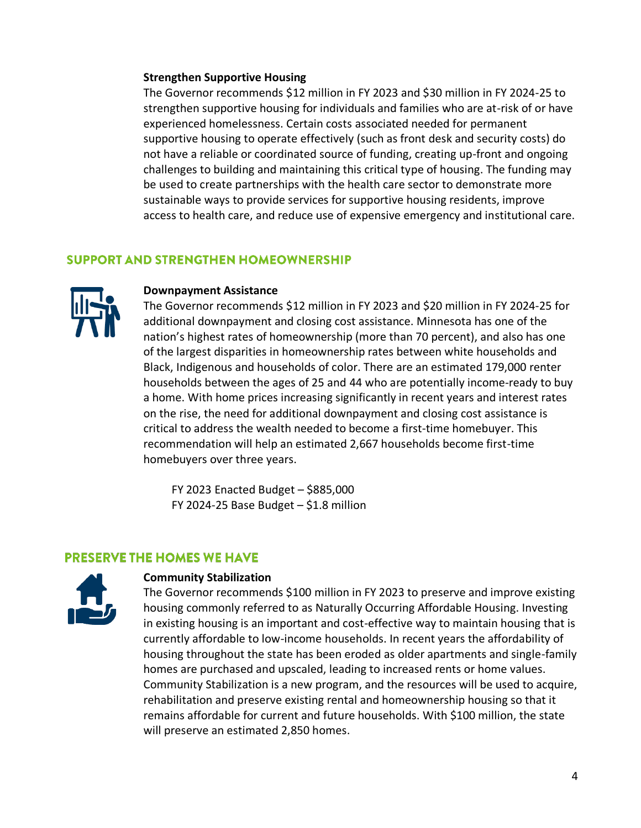#### **Strengthen Supportive Housing**

The Governor recommends \$12 million in FY 2023 and \$30 million in FY 2024-25 to strengthen supportive housing for individuals and families who are at-risk of or have experienced homelessness. Certain costs associated needed for permanent supportive housing to operate effectively (such as front desk and security costs) do not have a reliable or coordinated source of funding, creating up-front and ongoing challenges to building and maintaining this critical type of housing. The funding may be used to create partnerships with the health care sector to demonstrate more sustainable ways to provide services for supportive housing residents, improve access to health care, and reduce use of expensive emergency and institutional care.

# **SUPPORT AND STRENGTHEN HOMEOWNERSHIP**



#### **Downpayment Assistance**

The Governor recommends \$12 million in FY 2023 and \$20 million in FY 2024-25 for additional downpayment and closing cost assistance. Minnesota has one of the nation's highest rates of homeownership (more than 70 percent), and also has one of the largest disparities in homeownership rates between white households and Black, Indigenous and households of color. There are an estimated 179,000 renter households between the ages of 25 and 44 who are potentially income-ready to buy a home. With home prices increasing significantly in recent years and interest rates on the rise, the need for additional downpayment and closing cost assistance is critical to address the wealth needed to become a first-time homebuyer. This recommendation will help an estimated 2,667 households become first-time homebuyers over three years.

FY 2023 Enacted Budget – \$885,000 FY 2024-25 Base Budget  $-$  \$1.8 million

# **PRESERVE THE HOMES WE HAVE**



## **Community Stabilization**

The Governor recommends \$100 million in FY 2023 to preserve and improve existing housing commonly referred to as Naturally Occurring Affordable Housing. Investing in existing housing is an important and cost-effective way to maintain housing that is currently affordable to low-income households. In recent years the affordability of housing throughout the state has been eroded as older apartments and single-family homes are purchased and upscaled, leading to increased rents or home values. Community Stabilization is a new program, and the resources will be used to acquire, rehabilitation and preserve existing rental and homeownership housing so that it remains affordable for current and future households. With \$100 million, the state will preserve an estimated 2,850 homes.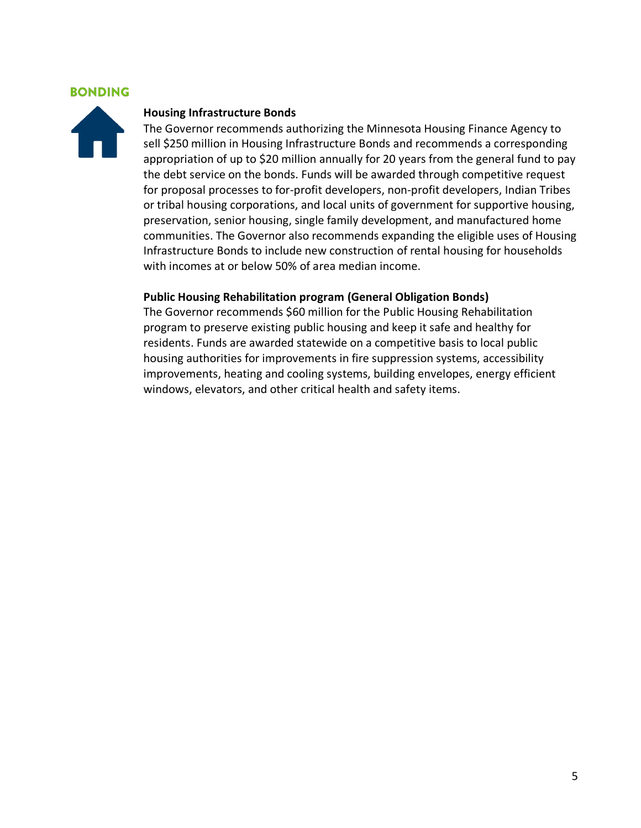# **BONDING**



#### **Housing Infrastructure Bonds**

The Governor recommends authorizing the Minnesota Housing Finance Agency to sell \$250 million in Housing Infrastructure Bonds and recommends a corresponding appropriation of up to \$20 million annually for 20 years from the general fund to pay the debt service on the bonds. Funds will be awarded through competitive request for proposal processes to for-profit developers, non-profit developers, Indian Tribes or tribal housing corporations, and local units of government for supportive housing, preservation, senior housing, single family development, and manufactured home communities. The Governor also recommends expanding the eligible uses of Housing Infrastructure Bonds to include new construction of rental housing for households with incomes at or below 50% of area median income.

#### **Public Housing Rehabilitation program (General Obligation Bonds)**

The Governor recommends \$60 million for the Public Housing Rehabilitation program to preserve existing public housing and keep it safe and healthy for residents. Funds are awarded statewide on a competitive basis to local public housing authorities for improvements in fire suppression systems, accessibility improvements, heating and cooling systems, building envelopes, energy efficient windows, elevators, and other critical health and safety items.